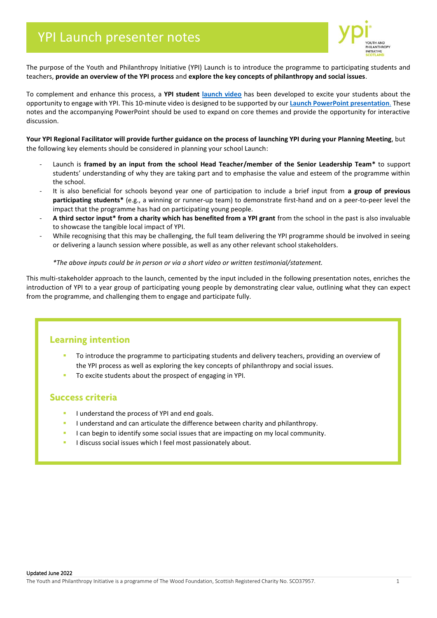

The purpose of the Youth and Philanthropy Initiative (YPI) Launch is to introduce the programme to participating students and teachers, **provide an overview of the YPI process** and **explore the key concepts of philanthropy and social issues**.

To complement and enhance this process, a **YPI student [launch video](https://vimeo.com/443361458)** has been developed to excite your students about the opportunity to engage with YPI. This 10-minute video is designed to be supported by our **Launch PowerPoint [presentation](https://ypiscotland.org.uk/educator-zone/)**. These notes and the accompanying PowerPoint should be used to expand on core themes and provide the opportunity for interactive discussion.

**Your YPI Regional Facilitator will provide further guidance on the process of launching YPI during your Planning Meeting**, but the following key elements should be considered in planning your school Launch:

- Launch is **framed by an input from the school Head Teacher/member of the Senior Leadership Team\*** to support students' understanding of why they are taking part and to emphasise the value and esteem of the programme within the school.
- It is also beneficial for schools beyond year one of participation to include a brief input from **a group of previous participating students\*** (e.g., a winning or runner-up team) to demonstrate first-hand and on a peer-to-peer level the impact that the programme has had on participating young people.
- **A third sector input\* from a charity which has benefited from a YPI grant** from the school in the past is also invaluable to showcase the tangible local impact of YPI.
- While recognising that this may be challenging, the full team delivering the YPI programme should be involved in seeing or delivering a launch session where possible, as well as any other relevant school stakeholders.

#### *\*The above inputs could be in person or via a short video or written testimonial/statement.*

This multi-stakeholder approach to the launch, cemented by the input included in the following presentation notes, enriches the introduction of YPI to a year group of participating young people by demonstrating clear value, outlining what they can expect from the programme, and challenging them to engage and participate fully.

# **Learning intention**

- To introduce the programme to participating students and delivery teachers, providing an overview of the YPI process as well as exploring the key concepts of philanthropy and social issues.
- To excite students about the prospect of engaging in YPI.

### **Success criteria**

- I understand the process of YPI and end goals.
- I understand and can articulate the difference between charity and philanthropy.
- I can begin to identify some social issues that are impacting on my local community.
- I discuss social issues which I feel most passionately about.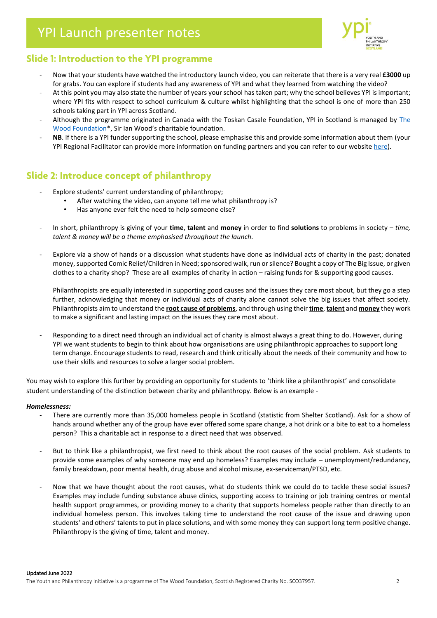

## **Slide 1: Introduction to the YPI programme**

- Now that your students have watched the introductory launch video, you can reiterate that there is a very real **£3000** up for grabs. You can explore if students had any awareness of YPI and what they learned from watching the video?
- At this point you may also state the number of years your school has taken part; why the school believes YPI is important; where YPI fits with respect to school curriculum & culture whilst highlighting that the school is one of more than 250 schools taking part in YPI across Scotland.
- Although the programme originated in Canada with the Toskan Casale Foundation, YPI in Scotland is managed by The [Wood Foundation](https://www.thewoodfoundation.org.uk/the-wood-foundation/)\*, Sir Ian Wood's charitable foundation.
- **NB**. If there is a YPI funder supporting the school, please emphasise this and provide some information about them (your YPI Regional Facilitator can provide more information on funding partners and you can refer to our websit[e here\)](https://ypiscotland.org.uk/partnership-zone/).

### **Slide 2: Introduce concept of philanthropy**

- Explore students' current understanding of philanthropy;
	- After watching the video, can anyone tell me what philanthropy is?
	- Has anyone ever felt the need to help someone else?
- In short, philanthropy is giving of your **time**, **talent** and **money** in order to find **solutions** to problems in society *time, talent & money will be a theme emphasised throughout the launch.*
- Explore via a show of hands or a discussion what students have done as individual acts of charity in the past; donated money, supported Comic Relief/Children in Need; sponsored walk, run or silence? Bought a copy of The Big Issue, or given clothes to a charity shop? These are all examples of charity in action – raising funds for & supporting good causes.

Philanthropists are equally interested in supporting good causes and the issues they care most about, but they go a step further, acknowledging that money or individual acts of charity alone cannot solve the big issues that affect society. Philanthropists aim to understand the **root cause of problems**, and through using their **time**, **talent** and **money** they work to make a significant and lasting impact on the issues they care most about.

Responding to a direct need through an individual act of charity is almost always a great thing to do. However, during YPI we want students to begin to think about how organisations are using philanthropic approaches to support long term change. Encourage students to read, research and think critically about the needs of their community and how to use their skills and resources to solve a larger social problem.

You may wish to explore this further by providing an opportunity for students to 'think like a philanthropist' and consolidate student understanding of the distinction between charity and philanthropy. Below is an example -

#### *Homelessness:*

- There are currently more than 35,000 homeless people in Scotland (statistic from Shelter Scotland). Ask for a show of hands around whether any of the group have ever offered some spare change, a hot drink or a bite to eat to a homeless person? This a charitable act in response to a direct need that was observed.
- But to think like a philanthropist, we first need to think about the root causes of the social problem. Ask students to provide some examples of why someone may end up homeless? Examples may include – unemployment/redundancy, family breakdown, poor mental health, drug abuse and alcohol misuse, ex-serviceman/PTSD, etc.
- Now that we have thought about the root causes, what do students think we could do to tackle these social issues? Examples may include funding substance abuse clinics, supporting access to training or job training centres or mental health support programmes, or providing money to a charity that supports homeless people rather than directly to an individual homeless person. This involves taking time to understand the root cause of the issue and drawing upon students' and others' talents to put in place solutions, and with some money they can support long term positive change. Philanthropy is the giving of time, talent and money.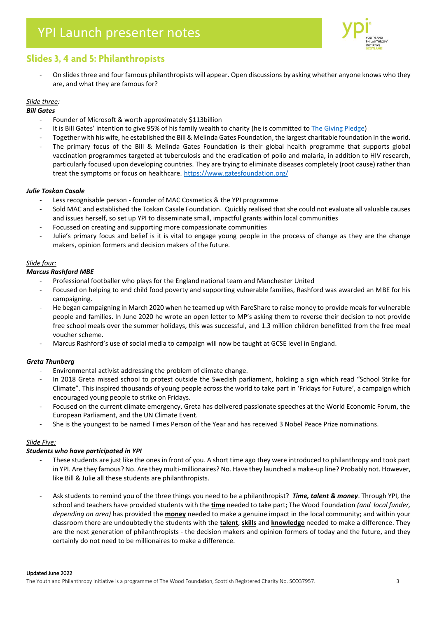

### **Slides 3, 4 and 5: Philanthropists**

- On slides three and four famous philanthropists will appear. Open discussions by asking whether anyone knows who they are, and what they are famous for?

#### *Slide three:*

#### *Bill Gates*

- Founder of Microsoft & worth approximately \$113billion
- It is Bill Gates' intention to give 95% of his family wealth to charity (he is committed t[o The Giving Pledge\)](https://givingpledge.org/)
- Together with his wife, he established the Bill & Melinda Gates Foundation, the largest charitable foundation in the world.
- The primary focus of the Bill & Melinda Gates Foundation is their global health programme that supports global vaccination programmes targeted at tuberculosis and the eradication of polio and malaria, in addition to HIV research, particularly focused upon developing countries. They are trying to eliminate diseases completely (root cause) rather than treat the symptoms or focus on healthcare. <https://www.gatesfoundation.org/>

#### *Julie Toskan Casale*

- Less recognisable person founder of MAC Cosmetics & the YPI programme
- Sold MAC and established the Toskan Casale Foundation. Quickly realised that she could not evaluate all valuable causes and issues herself, so set up YPI to disseminate small, impactful grants within local communities
- Focussed on creating and supporting more compassionate communities
- Julie's primary focus and belief is it is vital to engage young people in the process of change as they are the change makers, opinion formers and decision makers of the future.

#### *Slide four:*

#### *Marcus Rashford MBE*

- Professional footballer who plays for the England national team and Manchester United
- Focused on helping to end child food poverty and supporting vulnerable families, Rashford was awarded an MBE for his campaigning.
- He began campaigning in March 2020 when he teamed up with FareShare to raise money to provide meals for vulnerable people and families. In June 2020 he wrote an open letter to MP's asking them to reverse their decision to not provide free school meals over the summer holidays, this was successful, and 1.3 million children benefitted from the free meal voucher scheme.
- Marcus Rashford's use of social media to campaign will now be taught at GCSE level in England.

#### *Greta Thunberg*

- Environmental activist addressing the problem of climate change.
- In 2018 Greta missed school to protest outside the Swedish parliament, holding a sign which read "School Strike for Climate". This inspired thousands of young people across the world to take part in 'Fridays for Future', a campaign which encouraged young people to strike on Fridays.
- Focused on the current climate emergency, Greta has delivered passionate speeches at the World Economic Forum, the European Parliament, and the UN Climate Event.
- She is the youngest to be named Times Person of the Year and has received 3 Nobel Peace Prize nominations.

#### *Slide Five:*

#### *Students who have participated in YPI*

- These students are just like the ones in front of you. A short time ago they were introduced to philanthropy and took part in YPI. Are they famous? No. Are they multi-millionaires? No. Have they launched a make-up line? Probably not. However, like Bill & Julie all these students are philanthropists.
- Ask students to remind you of the three things you need to be a philanthropist? *Time, talent & money*. Through YPI, the school and teachers have provided students with the **time** needed to take part; The Wood Foundation *(and local funder, depending on area)* has provided the **money** needed to make a genuine impact in the local community; and within your classroom there are undoubtedly the students with the **talent**, **skills** and **knowledge** needed to make a difference. They are the next generation of philanthropists - the decision makers and opinion formers of today and the future, and they certainly do not need to be millionaires to make a difference.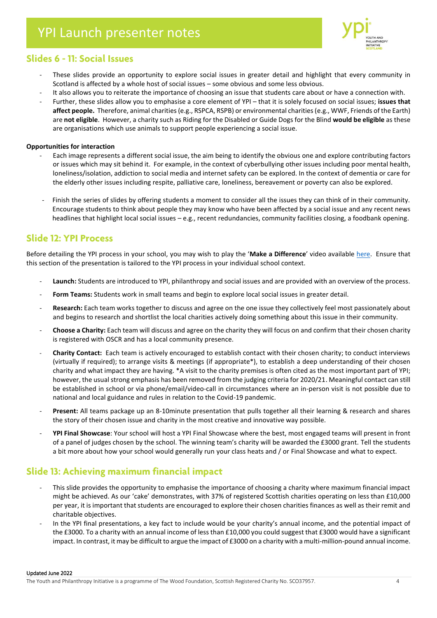

### **Slides 6 - 11: Social Issues**

- These slides provide an opportunity to explore social issues in greater detail and highlight that every community in Scotland is affected by a whole host of social issues – some obvious and some less obvious.
- It also allows you to reiterate the importance of choosing an issue that students care about or have a connection with.
- Further, these slides allow you to emphasise a core element of YPI that it is solely focused on social issues; **issues that affect people.** Therefore, animal charities (e.g., RSPCA, RSPB) or environmental charities (e.g., WWF, Friends of the Earth) are **not eligible**. However, a charity such as Riding for the Disabled or Guide Dogs for the Blind **would be eligible** as these are organisations which use animals to support people experiencing a social issue.

#### **Opportunities for interaction**

- Each image represents a different social issue, the aim being to identify the obvious one and explore contributing factors or issues which may sit behind it. For example, in the context of cyberbullying other issues including poor mental health, loneliness/isolation, addiction to social media and internet safety can be explored. In the context of dementia or care for the elderly other issues including respite, palliative care, loneliness, bereavement or poverty can also be explored.
- Finish the series of slides by offering students a moment to consider all the issues they can think of in their community. Encourage students to think about people they may know who have been affected by a social issue and any recent news headlines that highlight local social issues – e.g., recent redundancies, community facilities closing, a foodbank opening.

### **Slide 12: YPI Process**

Before detailing the YPI process in your school, you may wish to play the '**Make a Difference**' video available [here.](https://vimeo.com/207319665) Ensure that this section of the presentation is tailored to the YPI process in your individual school context.

- Launch: Students are introduced to YPI, philanthropy and social issues and are provided with an overview of the process.
- **Form Teams:** Students work in small teams and begin to explore local social issues in greater detail.
- Research: Each team works together to discuss and agree on the one issue they collectively feel most passionately about and begins to research and shortlist the local charities actively doing something about this issue in their community.
- **Choose a Charity:** Each team will discuss and agree on the charity they will focus on and confirm that their chosen charity is registered with OSCR and has a local community presence.
- **Charity Contact:** Each team is actively encouraged to establish contact with their chosen charity; to conduct interviews (virtually if required); to arrange visits & meetings (if appropriate\*), to establish a deep understanding of their chosen charity and what impact they are having. \*A visit to the charity premises is often cited as the most important part of YPI; however, the usual strong emphasis has been removed from the judging criteria for 2020/21. Meaningful contact can still be established in school or via phone/email/video-call in circumstances where an in-person visit is not possible due to national and local guidance and rules in relation to the Covid-19 pandemic.
- **Present:** All teams package up an 8-10minute presentation that pulls together all their learning & research and shares the story of their chosen issue and charity in the most creative and innovative way possible.
- **YPI Final Showcase**: Your school will host a YPI Final Showcase where the best, most engaged teams will present in front of a panel of judges chosen by the school. The winning team's charity will be awarded the £3000 grant. Tell the students a bit more about how your school would generally run your class heats and / or Final Showcase and what to expect.

### **Slide 13: Achieving maximum financial impact**

- This slide provides the opportunity to emphasise the importance of choosing a charity where maximum financial impact might be achieved. As our 'cake' demonstrates, with 37% of registered Scottish charities operating on less than £10,000 per year, it is important that students are encouraged to explore their chosen charities finances as well as their remit and charitable objectives.
- In the YPI final presentations, a key fact to include would be your charity's annual income, and the potential impact of the £3000. To a charity with an annual income of less than £10,000 you could suggest that £3000 would have a significant impact. In contrast, it may be difficult to argue the impact of £3000 on a charity with a multi-million-pound annual income.

Updated June 2022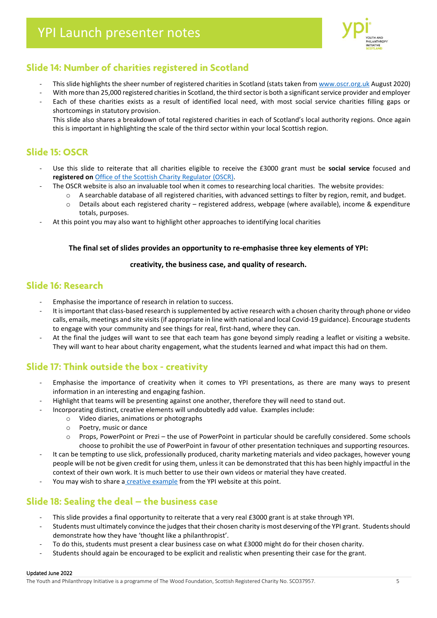

### **Slide 14: Number of charities registered in Scotland**

- This slide highlights the sheer number of registered charities in Scotland (stats taken fro[m www.oscr.org.uk](http://www.oscr.org.uk/) August 2020)
- With more than 25,000 registered charities in Scotland, the third sector is both a significant service provider and employer
- Each of these charities exists as a result of identified local need, with most social service charities filling gaps or shortcomings in statutory provision.

This slide also shares a breakdown of total registered charities in each of Scotland's local authority regions. Once again this is important in highlighting the scale of the third sector within your local Scottish region.

### **Slide 15: OSCR**

- Use this slide to reiterate that all charities eligible to receive the £3000 grant must be **social service** focused and **registered on** [Office of the Scottish Charity Regulator](http://www.oscr.org.uk/) (OSCR).
- The OSCR website is also an invaluable tool when it comes to researching local charities. The website provides:
	- o A searchable database of all registered charities, with advanced settings to filter by region, remit, and budget.
		- o Details about each registered charity registered address, webpage (where available), income & expenditure totals, purposes.
- At this point you may also want to highlight other approaches to identifying local charities

#### **The final set of slides provides an opportunity to re-emphasise three key elements of YPI:**

#### **creativity, the business case, and quality of research.**

### **Slide 16: Research**

- Emphasise the importance of research in relation to success.
- It is important that class-based research is supplemented by active research with a chosen charity through phone or video calls, emails, meetings and site visits(if appropriate in line with national and local Covid-19 guidance). Encourage students to engage with your community and see things for real, first-hand, where they can.
- At the final the judges will want to see that each team has gone beyond simply reading a leaflet or visiting a website. They will want to hear about charity engagement, what the students learned and what impact this had on them.

## **Slide 17: Think outside the box - creativity**

- Emphasise the importance of creativity when it comes to YPI presentations, as there are many ways to present information in an interesting and engaging fashion.
- Highlight that teams will be presenting against one another, therefore they will need to stand out.
	- Incorporating distinct, creative elements will undoubtedly add value. Examples include:
		- o Video diaries, animations or photographs
		- o Poetry, music or dance
		- o Props, PowerPoint or Prezi the use of PowerPoint in particular should be carefully considered. Some schools choose to prohibit the use of PowerPoint in favour of other presentation techniques and supporting resources.
- It can be tempting to use slick, professionally produced, charity marketing materials and video packages, however young people will be not be given credit for using them, unless it can be demonstrated that this has been highly impactful in the context of their own work. It is much better to use their own videos or material they have created.
- You may wish to share a [creative example](https://vimeo.com/ypiscotland) from the YPI website at this point.

### **Slide 18: Sealing the deal – the business case**

- This slide provides a final opportunity to reiterate that a very real £3000 grant is at stake through YPI.
- Students must ultimately convince the judges that their chosen charity is most deserving of the YPI grant. Students should demonstrate how they have 'thought like a philanthropist'.
- To do this, students must present a clear business case on what £3000 might do for their chosen charity.
- Students should again be encouraged to be explicit and realistic when presenting their case for the grant.

#### Updated June 2022